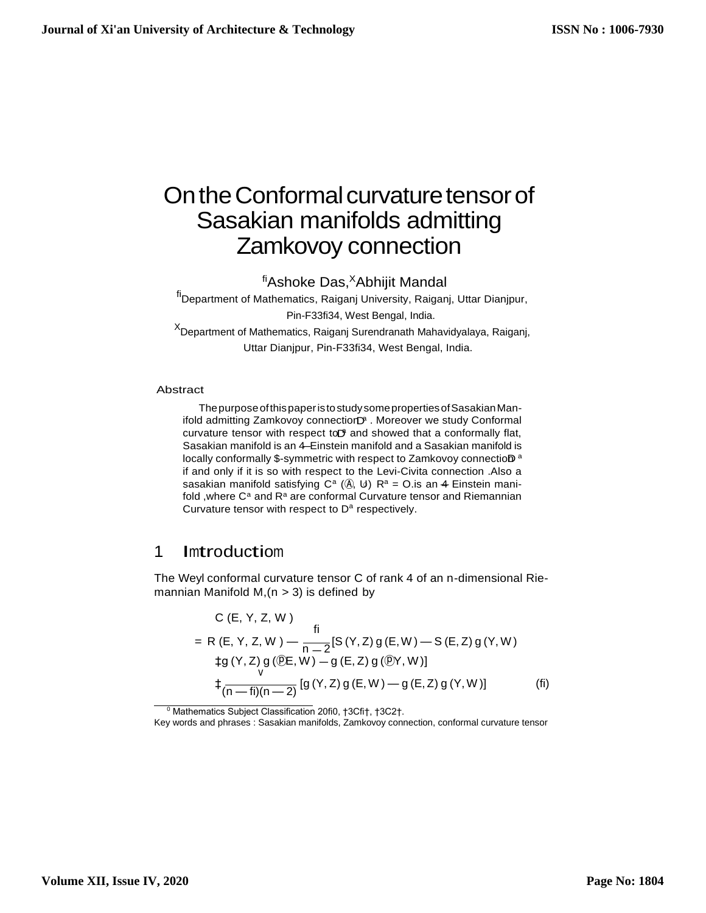# On the Conformal curvature tensor of Sasakian manifolds admitting Zamkovoy connection

fiAshoke Das,<sup>X</sup>Abhijit Mandal

<sup>fi</sup>Department of Mathematics, Raiganj University, Raiganj, Uttar Dianjpur, Pin-F33fi34, West Bengal, India. <sup>X</sup>Department of Mathematics, Raiganj Surendranath Mahavidyalaya, Raiganj, Uttar Dianjpur, Pin-F33fi34, West Bengal, India.

#### Abstract

locally conformally \$-symmetric with respect to Zamkovoy connectioD<sup>a</sup> Sasakian manifold is an 4–Einstein manifold and a Sasakian manifold is curvature tensor with respect to and showed that a conformally flat, ifold admitting Zamkovoy connectiorD<sup>a</sup>. Moreover we study Conformal sasakian manifold satisfying C<sup>a</sup> ( $\circledA$ , U) R<sup>a</sup> = O.is an 4 Einstein mani-ThepurposeofthispaperistostudysomepropertiesofSasakianManif and only if it is so with respect to the Levi-Civita connection .Also a fold , where  $C^a$  and  $R^a$  are conformal Curvature tensor and Riemannian Curvature tensor with respect to D<sup>a</sup> respectively.

### <sup>1</sup> Imtroductiom

The Weyl conformal curvature tensor C of rank 4 of an n-dimensional Riemannian Manifold M,  $(n > 3)$  is defined by

C (E, Y, Z, W)  
\n= R (E, Y, Z, W) - 
$$
\frac{\text{fi}}{\text{n} - 2} [S(Y, Z) g(E, W) - S(E, Z) g(Y, W)
$$
  
\n $\pm g(Y, Z) g (\overline{\mathbb{Q}E}, W) - g(E, Z) g (\overline{\mathbb{Q}Y}, W)]$   
\n $\pm \frac{\text{i}}{(\text{n} - \text{fi})(\text{n} - 2)} [g(Y, Z) g(E, W) - g(E, Z) g(Y, W)]$  (fi)

<sup>0</sup> Mathematics Subject Classification 20fi0, †3Cfi†, †3C2†.

Key words and phrases : Sasakian manifolds, Zamkovoy connection, conformal curvature tensor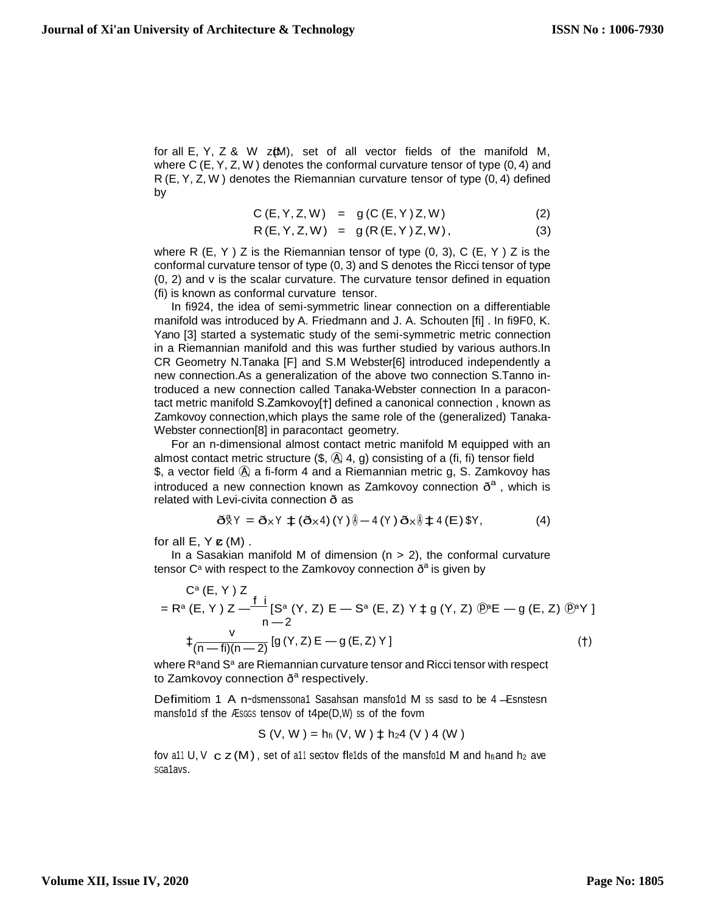for all  $E, Y, Z \& W$   $Z(M),$  set of all vector fields of the manifold M, where C (E, Y, Z, W ) denotes the conformal curvature tensor of type (0, 4) and R (E, Y, Z, W ) denotes the Riemannian curvature tensor of type (0, 4) defined by

$$
C(E, Y, Z, W) = g(C(E, Y)Z, W)
$$
 (2)

$$
R(E, Y, Z, W) = g(R(E, Y)Z, W), \qquad (3)
$$

where R  $(E, Y)$  Z is the Riemannian tensor of type  $(0, 3)$ , C  $(E, Y)$  Z is the conformal curvature tensor of type (0, 3) and S denotes the Ricci tensor of type (0, 2) and v is the scalar curvature. The curvature tensor defined in equation (fi) is known as conformal curvature tensor.

In fi924, the idea of semi-symmetric linear connection on a differentiable manifold was introduced by A. Friedmann and J. A. Schouten [fi] . In fi9F0, K. Yano [3] started a systematic study of the semi-symmetric metric connection in a Riemannian manifold and this was further studied by various authors.In CR Geometry N.Tanaka [F] and S.M Webster[6] introduced independently a new connection.As a generalization of the above two connection S.Tanno introduced a new connection called Tanaka-Webster connection In a paracontact metric manifold S.Zamkovoy[†] defined a canonical connection , known as Zamkovoy connection,which plays the same role of the (generalized) Tanaka-Webster connection[8] in paracontact geometry.

For an n-dimensional almost contact metric manifold M equipped with an almost contact metric structure  $(\$, \& 4, g)$  consisting of a (fi, fi) tensor field \$, a vector field  $\widehat{A}$  a fi-form 4 and a Riemannian metric g, S. Zamkovoy has introduced a new connection known as Zamkovoy connection  $\delta^a$ , which is related with Levi-civita connection ð as

$$
\delta \hat{\mathbf{X}} Y = \delta_X Y \pm (\delta_X 4) (Y) \hat{\mathbf{0}} - 4 (Y) \delta_X \hat{\mathbf{0}} \pm 4 (E) \hat{\mathbf{X}} Y, \tag{4}
$$

for all  $E, Y \mathbf{c}$  (M).

In a Sasakian manifold M of dimension  $(n > 2)$ , the conformal curvature tensor C<sup>a</sup> with respect to the Zamkovoy connection  $\delta^a$  is given by

$$
C^{a}(E, Y) Z
$$
  
= R<sup>a</sup> (E, Y) Z —  $\frac{f}{n-2}$  [S<sup>a</sup> (Y, Z) E – S<sup>a</sup> (E, Z) Y  $\neq$  g (Y, Z) @ $^{\oplus}E$  – g (E, Z) @ $^{\oplus}Y$ ]  
 $\frac{V}{(n-fi)(n-2)}$  [g (Y, Z) E – g (E, Z) Y ] (†)

where R<sup>a</sup>and S<sup>a</sup> are Riemannian curvature tensor and Ricci tensor with respect to Zamkovoy connection ð<sup>a</sup> respectively.

Defimitiom 1 A n-dsmenssona1 Sasahsan mansfo1d M ss sasd to be 4 -Esnstesn mansfo1d sf the <sup>Æ</sup>SGGS tensov of t4pe(D,W) ss of the fovm

$$
S (V, W) = h_{fi} (V, W) \pm h_2 4 (V) 4 (W)
$$

c fov a11 U, V z (M), set of a11 seGtov fle1ds of the mansfo1d M and hfiand h<sup>2</sup> ave SGa1avs.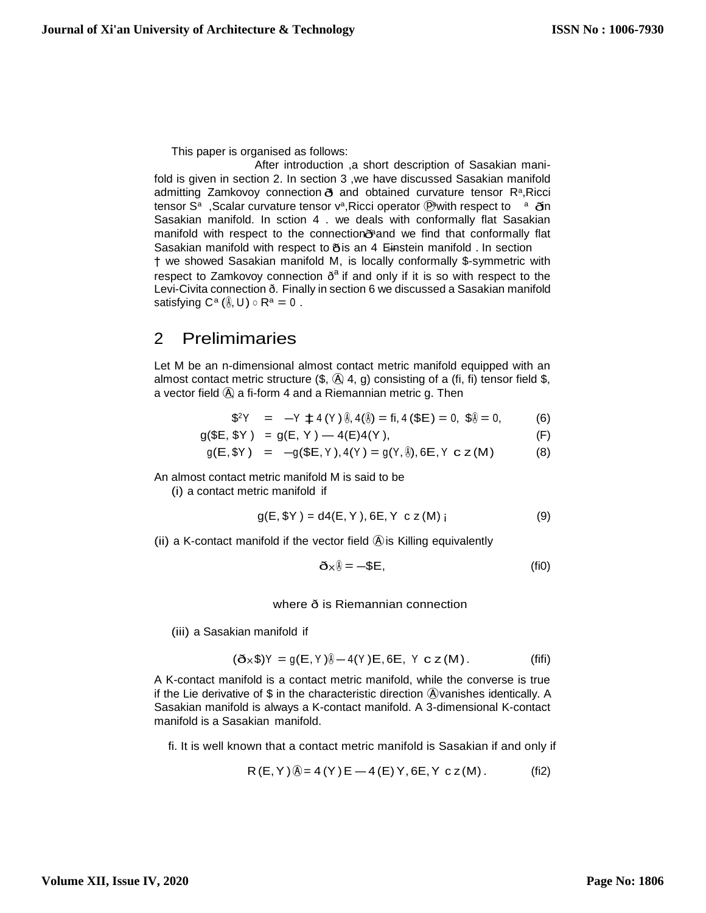This paper is organised as follows:

tensor S<sup>a</sup>, Scalar curvature tensor v<sup>a</sup>, Ricci operator <sup>@</sup>with respect to a din admitting Zamkovoy connection o and obtained curvature tensor R<sup>a</sup>, Ricci Sasakian manifold with respect to os an 4 Einstein manifold . In section manifold with respect to the connection and we find that conformally flat After introduction ,a short description of Sasakian manifold is given in section 2. In section 3 ,we have discussed Sasakian manifold Sasakian manifold. In sction 4 . we deals with conformally flat Sasakian † we showed Sasakian manifold M, is locally conformally \$-symmetric with respect to Zamkovoy connection  $\delta^a$  if and only if it is so with respect to the Levi-Civita connection ð. Finally in section 6 we discussed a Sasakian manifold satisfying  $C^a$  ( $\hat{\emptyset}$ , U)  $\circ$  R<sup>a</sup> = 0.

## 2 Prelimimaries

Let M be an n-dimensional almost contact metric manifold equipped with an almost contact metric structure  $(\$, \& 4, g)$  consisting of a (fi, fi) tensor field  $\$,$ a vector field  $\ddot{A}$ , a fi-form 4 and a Riemannian metric g. Then

$$
$^{2}Y = -Y \pm 4 (Y) \& 4(\&)= \text{fi}, 4 ($E) = 0, $ \&= 0, \tag{6}
$$

$$
g(\$E, \$Y) = g(E, Y) - 4(E)4(Y), \tag{F}
$$

$$
g(E, \$Y) = -g(\$E, Y), 4(Y) = g(Y, \textcircled{\textbf{I}}), 6E, Y \text{ c z (M)}
$$
 (8)

An almost contact metric manifold M is said to be

(i) a contact metric manifold if

$$
g(E, \$Y) = d4(E, Y), 6E, Y \text{ c } z(M) \text{ i}
$$
 (9)

(ii) a K-contact manifold if the vector field  $\hat{A}$  is Killing equivalently

$$
\tilde{\mathbf{O}} \times \tilde{\mathbf{0}} = -\mathbf{S} \mathbf{E},\tag{fi0}
$$

where ð is Riemannian connection

(iii) a Sasakian manifold if

$$
(\mathbf{\tilde{O}} \times \mathbf{\$})^{\gamma} = g(E, Y)\mathbf{\$} - 4(Y)E, 6E, Y \mathbf{c} z(M). \tag{fifi}
$$

A K-contact manifold is a contact metric manifold, while the converse is true if the Lie derivative of \$ in the characteristic direction Ⓐ vanishes identically. A Sasakian manifold is always a K-contact manifold. A 3-dimensional K-contact manifold is a Sasakian manifold.

fi. It is well known that a contact metric manifold is Sasakian if and only if

$$
R(E, Y) \hat{\phi} = 4(Y)E - 4(E)Y, 6E, Y c z(M). \tag{fi2}
$$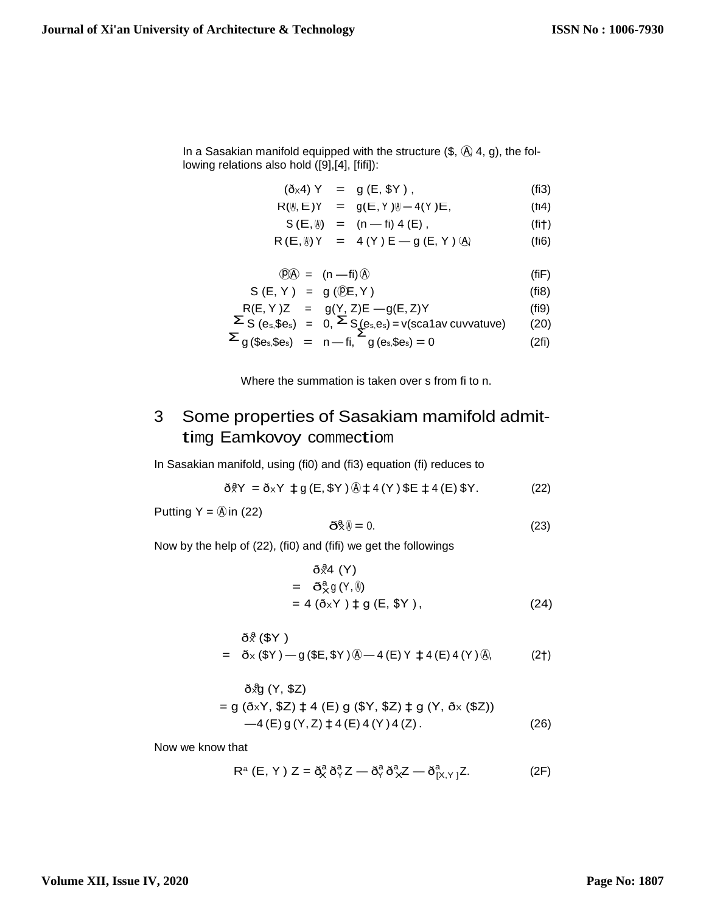In a Sasakian manifold equipped with the structure  $(\text{$\$}, \text{$\text{A}$}, 4, g)$ , the following relations also hold ([9],[4], [fifi]):

$$
(\delta x4) Y = g(E, $Y),
$$
 (fi3)

$$
R(\emptyset, E)Y = g(E, Y)\emptyset - 4(Y)E, \qquad (fi4)
$$

$$
S(E, \emptyset) = (n - fi) 4 (E), \qquad (fit)
$$

$$
R(E, \emptyset) Y = 4 (Y) E - g(E, Y) \langle A \rangle
$$
 (fi6)

$$
\mathfrak{P} \mathfrak{D} = (\mathsf{n} - \mathsf{fi}) \mathfrak{D} \tag{fiF}
$$

$$
S(E, Y) = g(\mathbf{E}, Y) \tag{fi8}
$$

$$
R(E, Y)Z = g(Y, Z)E - g(E, Z)Y
$$
\n
$$
\Sigma S (e, Se) = 0, \Sigma S (e, e) = v (scat) z (uvvative)
$$
\n(20)

$$
\Sigma_S (e_s, \$e_s) = 0, \Sigma_S (e_s, e_s) = v(\$catav \text{ curvature}) \tag{20}
$$
\n
$$
\Sigma_{\alpha} (\$e_s, \$e_s) = n - fi \quad \alpha(e_s, \$e_s) = 0 \tag{26}
$$

$$
\Sigma_{g}(\$e_s,\$e_s) = n\text{ -- fi, } \Sigma_{g}(\$e_s,\$e_s) = 0 \tag{2fi}
$$

Where the summation is taken over s from fi to n.

# 3 Some properties of Sasakiam mamifold admittimg Eamkovoy commectiom

In Sasakian manifold, using (fi0) and (fi3) equation (fi) reduces to

$$
\delta \hat{g} Y = \delta_X Y \; \text{†} \; g \left( E, \text{S} Y \right) \text{ and } 4 \left( Y \right) \text{ } \text{SE} \; \text{†} \; 4 \left( E \right) \text{ } \text{S} Y. \tag{22}
$$

Putting  $Y = \textcircled{A}$  in (22)

$$
\tilde{\mathbf{O}}\tilde{\mathbf{R}}\tilde{\mathbf{0}} = 0. \tag{23}
$$

Now by the help of (22), (fi0) and (fifi) we get the followings

$$
\delta \hat{\mathcal{R}}4 (Y)
$$
  
=  $\delta_X^a g(Y, \hat{\theta})$   
=  $4 (\delta_X Y) \ddagger g (E, \$Y),$  (24)

$$
\delta \hat{\mathcal{R}} (\$Y )
$$
  
=  $\delta \times (\$Y) - g ($E, $Y) \textcircled{9} - 4 (E) Y \neq 4 (E) 4 (Y) \textcircled{8},$  (2†)

$$
\delta \bar{X}g (Y, \$Z)
$$
  
= g ( $\delta xY$ , \$Z)  $\pm$  4 (E) g (\$Y, \\$Z)  $\pm$  g (Y,  $\delta x$  (\$Z))  
-4 (E) g (Y, Z)  $\pm$  4 (E) 4 (Y) 4 (Z). (26)

Now we know that

$$
R^{a} (E, Y) Z = \tilde{\sigma}_{X}^{a} \tilde{\sigma}_{Y}^{a} Z - \tilde{\sigma}_{Y}^{a} \tilde{\sigma}_{X}^{a} Z - \tilde{\sigma}_{[X,Y]}^{a} Z.
$$
 (2F)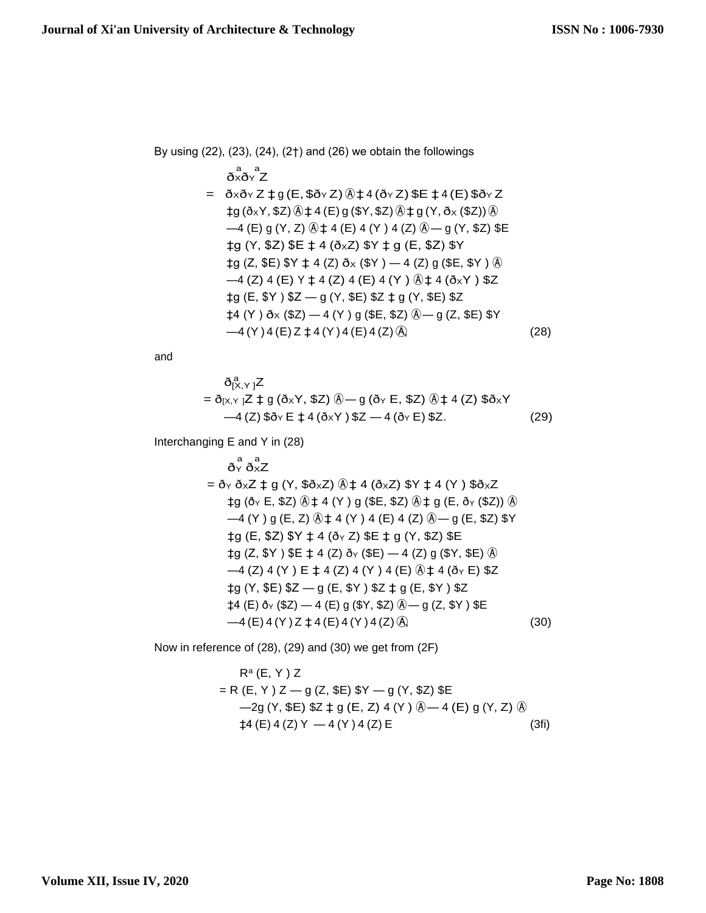By using (22), (23), (24), (2†) and (26) we obtain the followings  $\delta_X^a \delta_Y^a Z$  $= \delta x \delta y Z \ddagger g (E, \delta \delta y Z) \ddot{\delta} \ddagger 4 (\delta y Z) \ddot{\delta} E \ddagger 4 (E) \ddot{\delta} \delta y Z$  $\pm g$  ( $\delta_X$ Y, \$Z)  $\odot$  $\pm$  4 (E) g (\$Y, \$Z)  $\odot$  $\pm$  g (Y,  $\delta$ <sub>X</sub> (\$Z))  $\odot$  $-4$  (E) g (Y, Z)  $\circled{4}$   $\uparrow$  4 (E) 4 (Y) 4 (Z)  $\circled{4}$  – g (Y, \$Z) \$E  $\pm g$  (Y, \$Z) \$E  $\pm$  4 ( $\delta xZ$ ) \$Y  $\pm g$  (E, \$Z) \$Y  $\pm g$  (Z, \$E) \$Y  $\pm$  4 (Z)  $\delta$ x (\$Y)  $-$  4 (Z) g (\$E, \$Y)  $\hat{\theta}$  $-4$  (Z) 4 (E) Y  $\pm$  4 (Z) 4 (E) 4 (Y)  $\textcircled{4}$   $\pm$  4 ( $\textcircled{5}$ xY)  $\textcircled{5}$ Z  $\pm g$  (E, \$Y) \$Z — g (Y, \$E) \$Z  $\pm g$  (Y, \$E) \$Z  $\uparrow$ 4 (Y )  $\delta$ x (\$Z) — 4 (Y ) g (\$E, \$Z)  $\hat{\theta}$  — g (Z, \$E) \$Y  $-4 (Y) 4 (E) Z \ddagger 4 (Y) 4 (E) 4 (Z) \stackrel{\frown}{A}$  (28)

and

$$
\delta_{[X,Y]}^{a}Z
$$
\n
$$
= \delta_{[X,Y]}Z \ddagger g (\delta_{X}Y, \$Z) \hat{\phi} - g (\delta_{Y} E, \$Z) \hat{\phi} \ddagger 4 (Z) \$\delta_{X}Y
$$
\n
$$
-4 (Z) \$\delta_{Y} E \ddagger 4 (\delta_{X}Y) \$Z - 4 (\delta_{Y} E) \$Z.
$$
\n(29)

Interchanging E and Y in (28)

$$
\delta_Y^a \delta_X^a Z
$$
\n=  $\delta_Y \delta_X Z$    g (Y, \$ $\delta \times Z$ )  $\circledast$  ‡ 4 ( $\delta \times Z$ ) \$ $Y$  ‡ 4 (Y ) \$ $\delta \times Z$   
\n† g ( $\delta_Y$  E, \$Z)  $\circledast$  ‡ 4 (Y ) g (\$E, \$Z)  $\circledast$    g (E,  $\delta_Y$  (\$Z))  $\circledast$   
\n $\rightarrow$  4 (Y ) g (E, Z)  $\circledast$  ‡ 4 (Y ) 4 (E) 4 (Z)  $\circledast$    g (E, \$Z) \$ $Y$   
\n† g (E, \$Z) \$ $Y$  † 4 ( $\delta_Y$  Z) \$E   g (Y, \$Z) \$E  
\n† g (Z, \$Y ) \$E † 4 (Z)  $\delta_Y$  (\$E)  $\rightarrow$  4 (Z) g (\$Y, \$E)  $\circledast$   
\n $\rightarrow$  4 (Z) 4 (Y ) E † 4 (Z) 4 (Y ) 4 (E)  $\circledast$    4 ( $\delta_Y$  E) \$Z  
\n† g (Y, \$E) \$Z \rightarrow g (E, \$Y ) \$Z † g (E, \$Y ) \$Z  
\n† 4 (E)  $\delta_Y$  (\$Z)  $\rightarrow$  4 (E) g (\$Y, \$Z)  $\circledast$    g (Z, \$Y ) \$E  
\n $\rightarrow$  4 (E) 4 (Y) Z † 4 (E) 4 (Y) 4 (Z)  $\circledast$  (30)

Now in reference of (28), (29) and (30) we get from (2F)

$$
R^{a} (E, Y) Z
$$
  
= R (E, Y) Z – g (Z, \$E) \$Y – g (Y, \$Z) \$E  
-2g (Y, \$E) \$Z \nmid g (E, Z) 4 (Y) @—4 (E) g (Y, Z) @  
\n‡4 (E) 4 (Z) Y – 4 (Y) 4 (Z) E (3fi)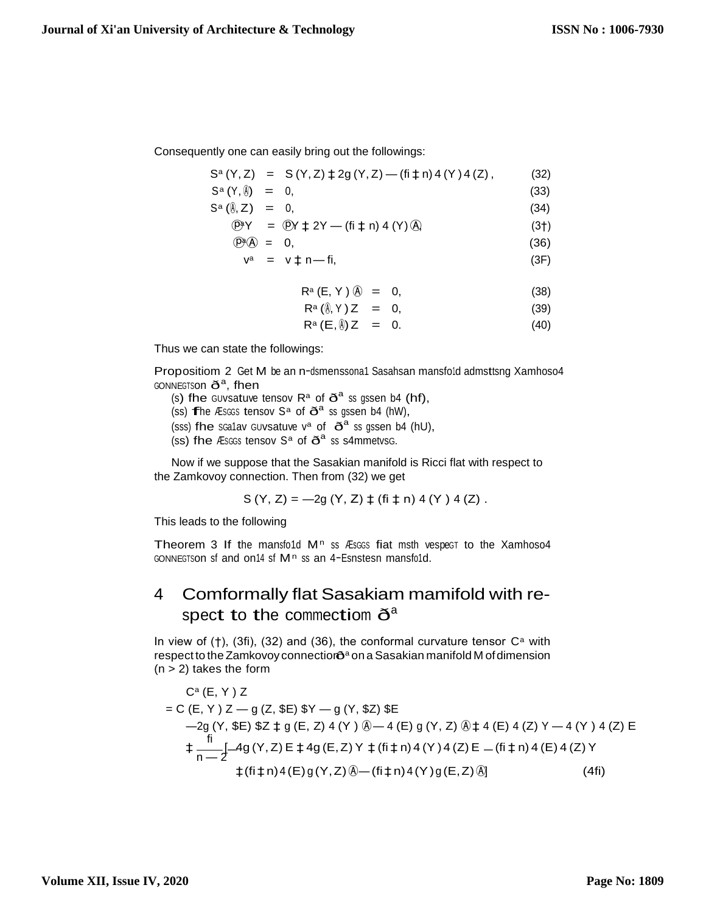$(36)$ 

Consequently one can easily bring out the followings:

$$
S^{a}(Y, Z) = S(Y, Z) \ddagger 2g(Y, Z) - (\text{fi} \ddagger \text{ n}) 4(Y) 4(Z), \qquad (32)
$$

$$
S^{\alpha}(Y,\emptyset) = 0, \qquad (33)
$$

$$
S^{\alpha}(\S, Z) = 0, \tag{34}
$$

$$
\begin{array}{rcl}\n\textcircled{P}Y &=& \textcircled{P}Y \downarrow 2Y - (\text{fi} \downarrow \text{n}) \, 4 \, (Y) \, \textcircled{A}\n\end{array} \tag{3}\n\tag{3}\n\textcircled{1}
$$

$$
\left(\overline{D}^{\alpha}\right) = 0,
$$

$$
v^a = v \ddagger n \dot{m} \tag{3F}
$$

$$
\mathsf{R}^{\mathsf{a}}\left(\mathsf{E},\mathsf{Y}\right)\left(\widehat{\mathsf{A}}\right) = 0,\tag{38}
$$

$$
\mathsf{R}^{\mathsf{a}}\left(\mathbf{0},\mathsf{Y}\right)\mathsf{Z} = 0, \tag{39}
$$

$$
\mathsf{R}^{\mathsf{a}}\left(\mathsf{E},\mathsf{B}\right)\mathsf{Z} = 0. \tag{40}
$$

Thus we can state the followings:

Propositiom 2 Get M be an n-dsmenssona1 Sasahsan mansfold admsttsng Xamhoso4 GONNEGTSON  $\eth^a$ , fhen

- (s) fhe GUVsatuve tensov  $R^a$  of  $\tilde{O}^a$  ss gssen b4 (hf),
- (ss) frhe Æs $G$ s tensov S<sup>a</sup> of  $\tilde{O}^a$  ss gssen b4 (hW),
- (sss) fhe scalav GUvsatuve  $v^a$  of  $\eth^a$  ss gssen b4 (hU),
- (ss) fhe *Æsccs* tensov  $S^a$  of  $\tilde{O}^a$  ss s4mmetvsc.

Now if we suppose that the Sasakian manifold is Ricci flat with respect to the Zamkovoy connection. Then from (32) we get

$$
S(Y, Z) = -2g(Y, Z) \ddagger (fi \ddagger n) 4 (Y) 4 (Z).
$$

This leads to the following

Theorem 3 If the mansfo1d M<sup>n</sup> ss Æsces fiat msth vespect to the Xamhoso4 GONNEGTSON sf and on<sup>14</sup> sf  $M<sup>n</sup>$  ss an 4-Esnstesn mansfold.

### Comformally flat Sasakiam mamifold with re-4 spect to the commectiom  $\eth^a$

In view of (†), (3fi), (32) and (36), the conformal curvature tensor  $C^a$  with respect to the Zamkovoy connectiors<sup>a</sup> on a Sasakian manifold M of dimension  $(n > 2)$  takes the form

$$
C^{a}(E, Y) Z
$$
  
= C (E, Y) Z - g (Z, \$E) \$Y - g (Y, \$Z) \$E  
-2g (Y, \$E) \$Z \nmid g (E, Z) 4 (Y) @ - 4 (E) g (Y, Z) @ \nmid 4 (E) 4 (Z) Y - 4 (Y) 4 (Z) E  
+ 
$$
\frac{f i}{n-2} 4g(Y, Z) E \nmid 4g (E, Z) Y \nmid (f i \nmid n) 4 (Y) 4 (Z) E - (f i \nmid n) 4 (E) 4 (Z) Y+ (f i \nmid n) 4 (E) g (Y, Z) @ - (f i \nmid n) 4 (Y) g (E, Z) @ ] (4f i)
$$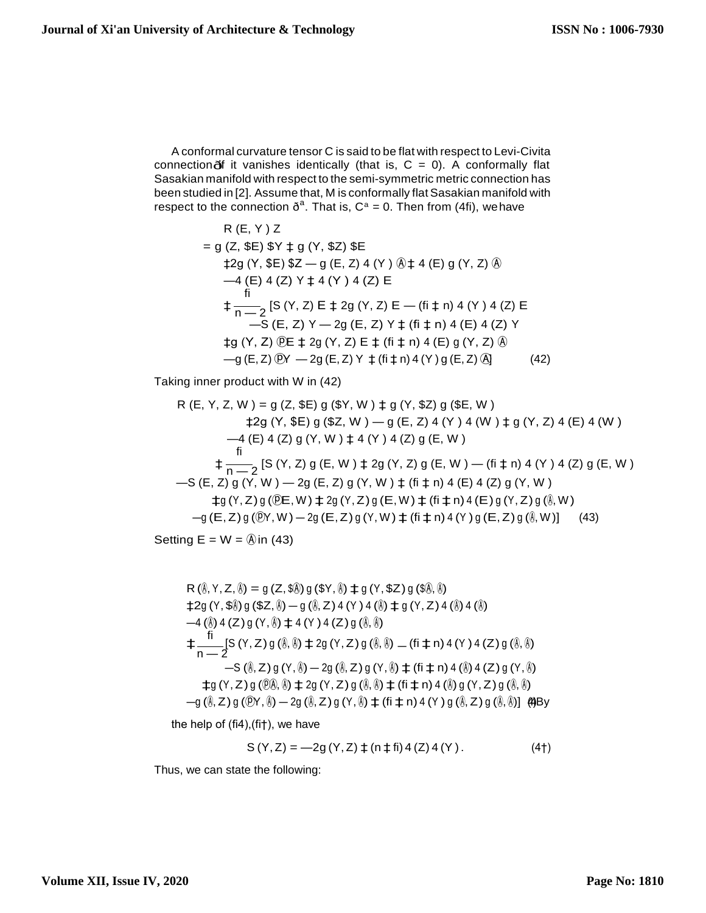connection of it vanishes identically (that is,  $C = 0$ ). A conformally flat A conformal curvature tensor C is said to be flat with respect to Levi-Civita Sasakian manifold with respect to the semi-symmetric metric connection has been studied in [2]. Assume that, M is conformally flat Sasakian manifold with respect to the connection  $\delta^a$ . That is,  $C^a = 0$ . Then from (4fi), we have

R (E, Y ) Z = g (Z, \$E) \$Y ‡ g (Y, \$Z) \$E ‡2g (Y, \$E) \$Z — g (E, Z) 4 (Y ) Ⓐ ‡ 4 (E) g (Y, Z) Ⓐ —4 (E) 4 (Z) Y ‡ 4 (Y ) 4 (Z) E fi ‡ n — <sup>2</sup>[S (Y, Z) E ‡ 2g (Y, Z) E — (fi ‡ n) 4 (Y ) 4 (Z) E —S (E, Z) Y — 2g (E, Z) Y ‡ (fi ‡ n) 4 (E) 4 (Z) Y ‡g (Y, Z) ⓟE ‡ 2g (Y, Z) E ‡ (fi ‡ n) 4 (E) g (Y, Z) Ⓐ —g (E, Z) ⓟY — 2g (E, Z) Y ‡ (fi ‡ n) 4 (Y ) g (E, Z) Ⓐ] (42)

Taking inner product with W in (42)

R (E, Y, Z, W) = g (Z, \$E) g (\$Y, W) 
$$
\ddagger
$$
 g (Y, \$Z) g (\$E, W)  
\n $\ddagger$ 2g (Y, \$E) g (\$Z, W) - g (E, Z) 4 (Y) 4 (W)  $\ddagger$  g (Y, Z) 4 (E) 4 (W)  
\n $\qquad -4$  (E) 4 (Z) g (Y, W)  $\ddagger$  4 (Y) 4 (Z) g (E, W)  
\n $\qquad \ddots$   
\n $\qquad \ddots$   
\n $\qquad \qquad$   
\n $\qquad \qquad$ 6 (E, Z) g (Y, W) - 2g (E, Z) g (Y, W)  $\ddagger$  (fi  $\ddagger$  n) 4 (E) 4 (Z) g (Y, W)  
\n $\qquad \qquad$ 7g (Y, Z) g (QE, W)  $\ddagger$ 2g (Y, Z) g (E, W)  $\ddagger$  (fi  $\ddagger$  n) 4 (E) 4 (Z) g (Y, W)  
\n $\qquad \qquad$ 4g (Y, Z) g (QE, W)  $\ddagger$ 2g (Y, Z) g (E, W)  $\ddagger$  (fi  $\ddagger$  n) 4 (E) g (Y, Z) g (i), W)  
\n $\qquad \qquad$ 9 (E, Z) g (QY, W) - 2g (E, Z) g (Y, W)  $\ddagger$  (fi  $\ddagger$  n) 4 (Y) g (E, Z) g (i), W)] (43)

Setting  $E = W = \hat{A}$  in (43)

R (i), Y, Z, i) = g (Z, \$0) g (\$Y, i) 
$$
\pm
$$
 g (Y, \$Z) g (\$0, i)  
\n $\pm 2g (Y, $0) g ($Z, i) - g (i) Z) 4 (Y) 4 (i)  $\pm$  g (Y, Z) 4 (i) 4 (i)  
\n $\rightarrow$  4 (i) 4 (Z) g (Y, i)  $\pm$  4 (Y) 4 (Z) g (i) .  
\n $\pm \frac{f}{n-2}$ [S (Y, Z) g (i) . $\pm$  2g (Y, Z) g (i) . $\pm$  4 (ii) 4 (iii) 4 (iv) 4 (v) 4 (v) 4 (v) 4 (v) 4 (v) 4 (v) 4 (2) g (i) .  
\n $\pm$  g (Y, Z) g (i) (i) - 2g (i) Z) g (Y, i)  $\pm$  (ii  $\pm$  n) 4 (i) 4 (Z) g (Y, i)   
\n $\pm$  g (Y, Z) g (i) (i)  $\pm$  2g (Y, Z) g (i) (i)  $\pm$  (ii  $\pm$  n) 4 (i) g (Y, Z) g (i) .  
\n $\pm$  g (i) Z) g (i) (i) - 2g (i) Z) g (i) (j)  $\pm$  (ii  $\pm$  n) 4 (i) g (i) Z) g (i) .  
\n $\pm$  g (i) Z) g (i) (i) - 2g (i) Z) g (i)  $\pm$  (ii  $\pm$  n) 4 (i) g (i) Z) g (i) .  
\n $\pm$  g (i) g (i) g (j) g (k) - 2g (k) g (k) g (l)  $\pm$  (l)  $\pm$  n) 4 (l) g (l) Z) g (l) m (l)$ 

the help of (fi4),(fi†), we have

$$
S(Y, Z) = -2g(Y, Z) \pm (n \pm fi) 4 (Z) 4 (Y). \tag{4}
$$

Thus, we can state the following: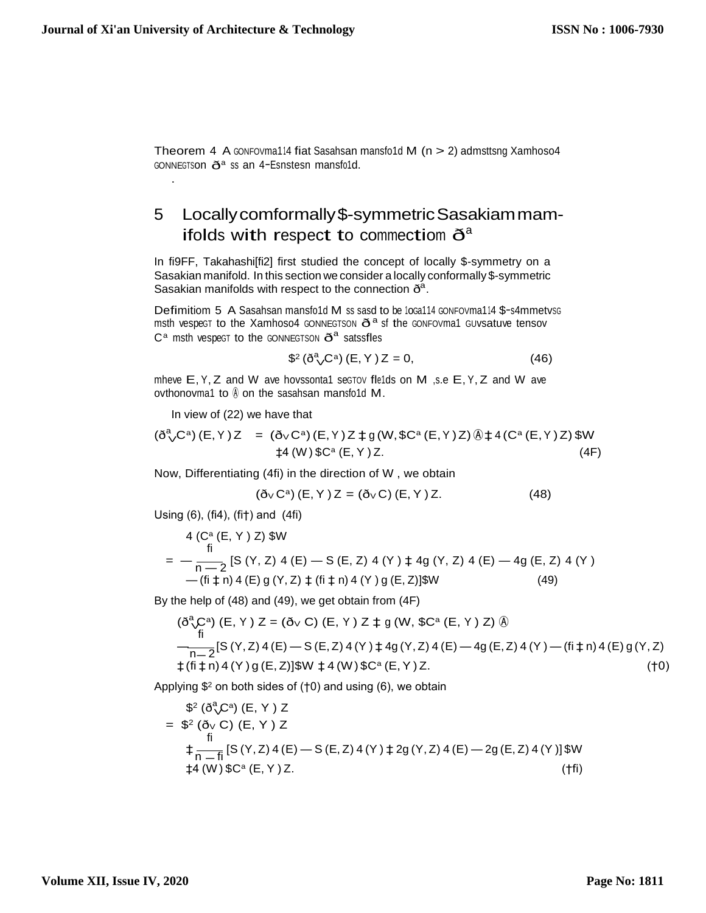Theorem 4 A GONFOVma114 fiat Sasahsan mansfo1d M  $(n > 2)$  admsttsng Xamhoso4 GONNEGTSON  $\eth^a$  ss an 4-Esnstesn mansfold.

### Locally comformally \$-symmetric Sasakiam mam-5 ifolds with respect to commectiom  $\mathbf{\check{O}}^a$

In fi9FF, Takahashiffi2] first studied the concept of locally \$-symmetry on a Sasakian manifold. In this section we consider a locally conformally \$-symmetric Sasakian manifolds with respect to the connection  $\delta^a$ .

Defimitiom 5 A Sasahsan mansfo1d M ss sasd to be 10Ga114 GONFOVma114 \$-s4mmetysG msth vespect to the Xamhoso4 GONNEGTSON  $\eth^a$  sf the GONFOVma1 GUVsatuve tensov  $C^a$  msth vespect to the GONNEGTSON  $\tilde{O}^a$  satssfles

$$
\$^2 \left( \check{\delta}^a \right) C^a \right) (E, Y) Z = 0, \tag{46}
$$

mheve E, Y, Z and W ave hovssonta1 sectov fle1ds on M ,s.e E, Y, Z and W ave ovthonovma1 to  $\emptyset$  on the sasahsan mansfo1d M.

In view of (22) we have that

$$
(\eth^a \sqrt{C}^a) (E, Y) Z = (\eth \sqrt{C}^a) (E, Y) Z \ddagger g (W, \$C^a (E, Y) Z) \textcircled{1} \ddagger 4 (C^a (E, Y) Z) \$W
$$
  

$$
\ddagger 4 (W) \$C^a (E, Y) Z.
$$
 (4F)

Now, Differentiating (4fi) in the direction of W, we obtain

$$
(\eth_V \mathbf{C}^a) (\mathsf{E}, \mathsf{Y}) \mathsf{Z} = (\eth_V \mathsf{C}) (\mathsf{E}, \mathsf{Y}) \mathsf{Z}.
$$
 (48)

Using  $(6)$ ,  $(fi4)$ ,  $(fi<sup>+</sup>)$  and  $(4fi)$ 

$$
4 (Ca (E, Y) Z) $W
$$
  
=  $-\frac{1}{n-2}$  [S (Y, Z) 4 (E) - S (E, Z) 4 (Y)  $\pm$  4g (Y, Z) 4 (E) - 4g (E, Z) 4 (Y)  
-(fi  $\pm$  n) 4 (E) g (Y, Z)  $\pm$  (fi  $\pm$  n) 4 (Y) g (E, Z)]\$W (49)

By the help of (48) and (49), we get obtain from (4F)

$$
(\delta^a_{\Lambda}C^a) (E, Y) Z = (\delta_V C) (E, Y) Z \ddagger g (W, $C^a (E, Y) Z) @\n\frac{f i}{\ln 2}[S(Y, Z) 4(E) - S(E, Z) 4(Y) \ddagger 4g(Y, Z) 4(E) - 4g(E, Z) 4(Y) - (fi \ddagger n) 4(E) g(Y, Z)\n\ddagger (fi \ddagger n) 4(Y) g(E, Z)]$W \ddagger 4(W) $C^a (E, Y) Z. \tag{†0}
$$

Applying  $$^2$  on both sides of ( $\uparrow$ 0) and using (6), we obtain

$$
\begin{aligned}\n\mathcal{S}^2 \left( \delta^a \mathcal{L}^a \right) & \left( E, Y \right) Z \\
&= \mathcal{S}^2 \left( \delta_V C \right) \left( E, Y \right) Z \\
&\text{if } \\
& \frac{1}{n - f_i} \left[ S \left( Y, Z \right) 4 \left( E \right) - S \left( E, Z \right) 4 \left( Y \right) \right] 2 g \left( Y, Z \right) 4 \left( E \right) - 2 g \left( E, Z \right) 4 \left( Y \right) \right] \mathcal{W} \\
&\text{if } \\
& \left( W \right) \mathcal{S} C^a \left( E, Y \right) Z.\n\end{aligned}
$$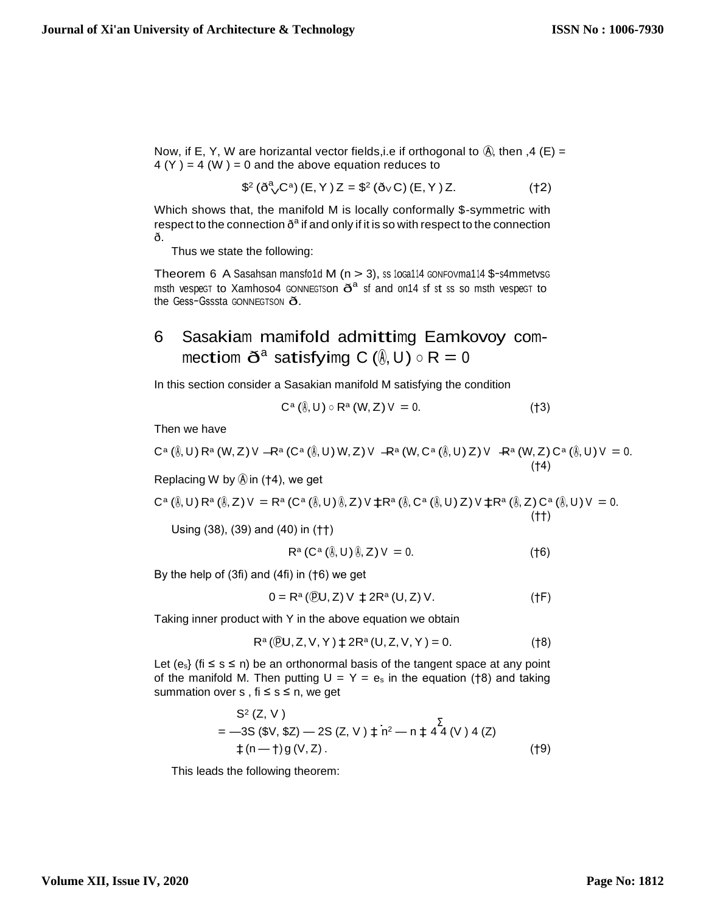Now, if E, Y, W are horizantal vector fields, i.e if orthogonal to  $\hat{A}$ , then ,4 (E) =  $4(Y) = 4(W) = 0$  and the above equation reduces to

$$
\$^2 (\check{\mathbf{O}}^a \check{\mathbf{C}}^a) (\mathsf{E}, \mathsf{Y}) \mathsf{Z} = \$^2 (\check{\mathbf{O}} \vee \mathsf{C}) (\mathsf{E}, \mathsf{Y}) \mathsf{Z}.
$$
 (†2)

Which shows that, the manifold M is locally conformally \$-symmetric with respect to the connection  $\delta^a$  if and only if it is so with respect to the connection ð.

Thus we state the following:

Theorem 6 A Sasahsan mansfo1d M ( $n > 3$ ), ss 10Ga114 GONFOVma114 \$-s4mmetvsG msth vespect to Xamhoso4 connects on  $\tilde{O}^a$  sf and on 14 sf st ss so msth vespect to the Gess-Gsssta GONNEGTSON  $\delta$ .

### Sasakiam mamifold admittimg Eamkovoy com-6 mectiom  $\tilde{O}^a$  satisfyimg C ( $\hat{\theta}$ , U)  $\circ$  R = 0

In this section consider a Sasakian manifold M satisfying the condition

$$
C^{\alpha}(\mathbf{0},U)\circ R^{\alpha}(W,Z)V=0.
$$
 (†3)

Then we have

$$
C^{a}(\mathbb{A},U) R^{a}(W,Z) V - R^{a}(C^{a}(\mathbb{A},U) W,Z) V - R^{a}(W,C^{a}(\mathbb{A},U) Z) V - R^{a}(W,Z) C^{a}(\mathbb{A},U) V = 0.
$$
\n
$$
(†4)
$$

Replacing W by  $\textcircled{a}$  in (†4), we get

$$
C^{a}(\emptyset, U) R^{a}(\emptyset, Z) V = R^{a} (C^{a}(\emptyset, U) \emptyset, Z) V \pm R^{a}(\emptyset, C^{a}(\emptyset, U) Z) V \pm R^{a}(\emptyset, Z) C^{a}(\emptyset, U) V = 0.
$$
\n
$$
( \dagger \dagger )
$$

Using (38), (39) and (40) in (††)

$$
\mathsf{R}^{\mathsf{a}}\left(\mathsf{C}^{\mathsf{a}}\left(\emptyset,\mathsf{U}\right)\emptyset,\mathsf{Z}\right)\mathsf{V}\;=0.\tag{†6}
$$

By the help of  $(3fi)$  and  $(4fi)$  in  $(†6)$  we get

$$
0 = Ra (0)U, Z) V \downarrow 2Ra (U, Z) V.
$$
 (†F)

Taking inner product with Y in the above equation we obtain

$$
R^{a}(\mathbb{P}U, Z, V, Y) \ddagger 2R^{a}(U, Z, V, Y) = 0.
$$
 (†8)

Let  $(e_s)$  (fi  $\leq s \leq n$ ) be an orthonormal basis of the tangent space at any point of the manifold M. Then putting  $U = Y = e_s$  in the equation (†8) and taking summation over  $s$ , fi  $\leq s \leq n$ , we get

$$
S^{2}(Z, V)
$$
  
= -3S (\$V, \$Z) - 2S (Z, V)  $\downarrow$  n<sup>2</sup> - n  $\downarrow$  4<sup>2</sup>(V) 4 (Z)  
 $\downarrow$  (n- $\uparrow$ ) g (V, Z). (†9)

This leads the following theorem: